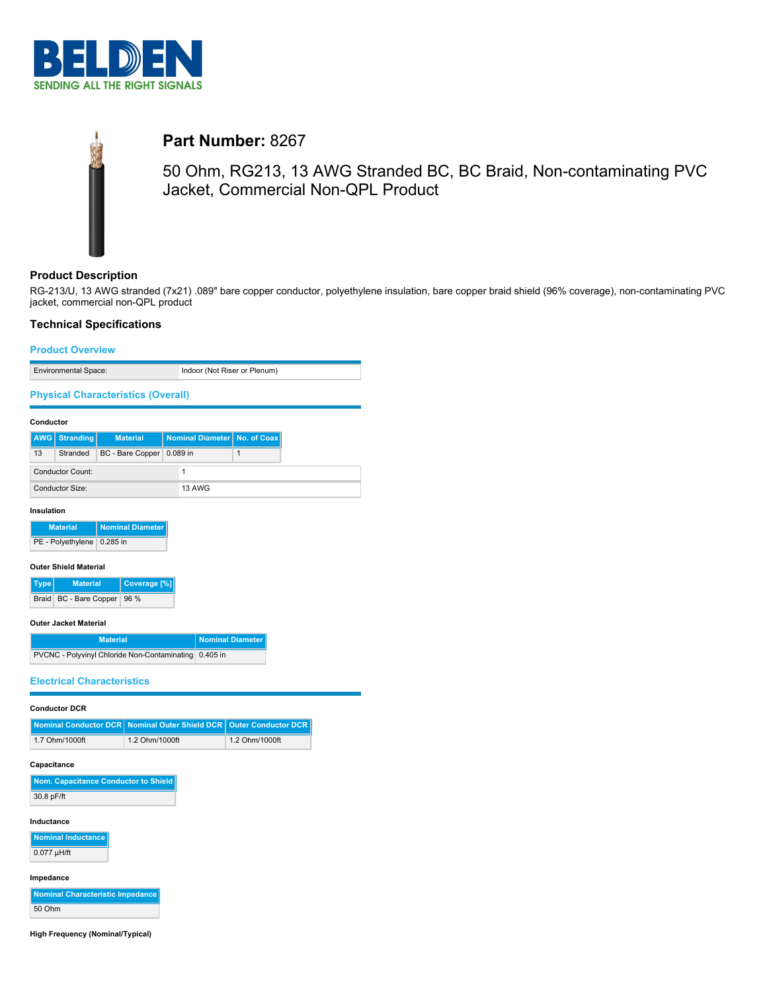



# **Part Number:** 8267

50 Ohm, RG213, 13 AWG Stranded BC, BC Braid, Non-contaminating PVC Jacket, Commercial Non-QPL Product

## **Product Description**

RG-213/U, 13 AWG stranded (7x21) .089" bare copper conductor, polyethylene insulation, bare copper braid shield (96% coverage), non-contaminating PVC jacket, commercial non-QPL product

## **Technical Specifications**

# **Product Overview** Environmental Space: Indoor (Not Riser or Plenum) **Physical Characteristics (Overall) Conductor AWG Stranding Material Nominal Diameter No. of Coax** 13 Stranded BC - Bare Copper 0.089 in 1 Conductor Count: 1 Conductor Size: 13 AWG **Insulation Material Nominal Diameter** PE - Polyethylene 0.285 in **Outer Shield Material Type Material Coverage [%]** Braid BC - Bare Copper 96 %

### **Outer Jacket Material**

| <b>Material</b>                                       | Nominal Diameter |
|-------------------------------------------------------|------------------|
| PVCNC - Polyvinyl Chloride Non-Contaminating 0.405 in |                  |

## **Electrical Characteristics**

#### **Conductor DCR**

|                | Nominal Conductor DCR Nominal Outer Shield DCR   Outer Conductor DCR |                |
|----------------|----------------------------------------------------------------------|----------------|
| 1.7 Ohm/1000ft | 1.2 Ohm/1000ft                                                       | 1.2 Ohm/1000ft |

### **Capacitance**

| Nom. Capacitance Conductor to Shield |
|--------------------------------------|
| 30.8 pF/ft                           |

## **Inductance**

**Nominal Inductance** 0.077 µH/ft

## **Impedance**

**Nominal Characteristic Impedance** 50 Ohm

**High Frequency (Nominal/Typical)**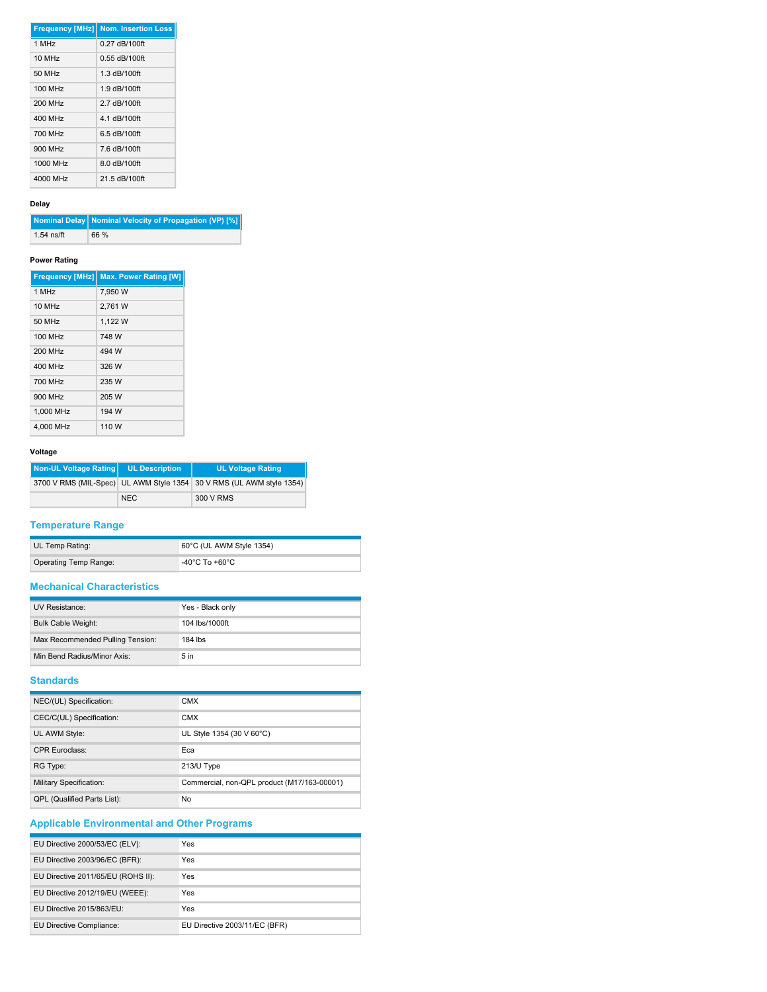|          | <b>Frequency [MHz] Nom. Insertion Loss</b> |
|----------|--------------------------------------------|
| 1 MHz    | $0.27$ dB/100ft                            |
| 10 MHz   | $0.55$ dB/100ft                            |
| 50 MHz   | 1.3 dB/100ft                               |
| 100 MHz  | 1.9 dB/100ft                               |
| 200 MHz  | 2 7 dB/100ft                               |
| 400 MHz  | 4.1 dB/100ft                               |
| 700 MHz  | 6.5 dB/100ft                               |
| 900 MHz  | 7.6 dB/100ft                               |
| 1000 MHz | 8.0 dB/100ft                               |
| 4000 MHz | 21.5 dB/100ft                              |

## **Delay**

|              | Nominal Delay   Nominal Velocity of Propagation (VP) [%] |
|--------------|----------------------------------------------------------|
| $1.54$ ns/ft | 66 %                                                     |

## **Power Rating**

|                | Frequency [MHz] Max. Power Rating [W] |
|----------------|---------------------------------------|
| 1 MHz          | 7.950 W                               |
| 10 MHz         | 2.761 W                               |
| 50 MHz         | 1.122 W                               |
| <b>100 MHz</b> | 748 W                                 |
| <b>200 MHz</b> | 494 W                                 |
| 400 MHz        | 326 W                                 |
| 700 MHz        | 235 W                                 |
| 900 MHz        | 205 W                                 |
| 1.000 MHz      | 194 W                                 |
| 4.000 MHz      | 110 W                                 |

## **Voltage**

| Non-UL Voltage Rating | <b>UL Description</b> | <b>UL Voltage Rating</b>                                             |
|-----------------------|-----------------------|----------------------------------------------------------------------|
|                       |                       | 3700 V RMS (MIL-Spec) UL AWM Style 1354 30 V RMS (UL AWM style 1354) |
|                       | <b>NEC</b>            | 300 V RMS                                                            |

## **Temperature Range**

| UL Temp Rating:       | 60°C (UL AWM Style 1354) |
|-----------------------|--------------------------|
| Operating Temp Range: | -40°C To +60°C           |

## **Mechanical Characteristics**

| UV Resistance:                   | Yes - Black only |
|----------------------------------|------------------|
| <b>Bulk Cable Weight:</b>        | 104 lbs/1000ft   |
| Max Recommended Pulling Tension: | 184 lbs          |
| Min Bend Radius/Minor Axis:      | 5 <sub>in</sub>  |

# **Standards**

| NEC/(UL) Specification:            | <b>CMX</b>                                  |
|------------------------------------|---------------------------------------------|
| CEC/C(UL) Specification:           | <b>CMX</b>                                  |
| UL AWM Style:                      | UL Style 1354 (30 V 60°C)                   |
| <b>CPR Euroclass:</b>              | Eca                                         |
| RG Type:                           | 213/U Type                                  |
| Military Specification:            | Commercial, non-QPL product (M17/163-00001) |
| <b>QPL (Qualified Parts List):</b> | No                                          |

# **Applicable Environmental and Other Programs**

| EU Directive 2000/53/EC (ELV):     | Yes                           |
|------------------------------------|-------------------------------|
| EU Directive 2003/96/EC (BFR):     | Yes                           |
| EU Directive 2011/65/EU (ROHS II): | Yes                           |
| EU Directive 2012/19/EU (WEEE):    | Yes                           |
| EU Directive 2015/863/EU:          | Yes                           |
| EU Directive Compliance:           | EU Directive 2003/11/EC (BFR) |